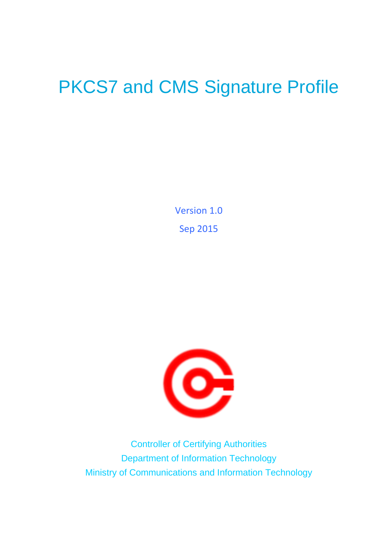# PKCS7 and CMS Signature Profile

Version 1.0 Sep 2015



Controller of Certifying Authorities Department of Information Technology Ministry of Communications and Information Technology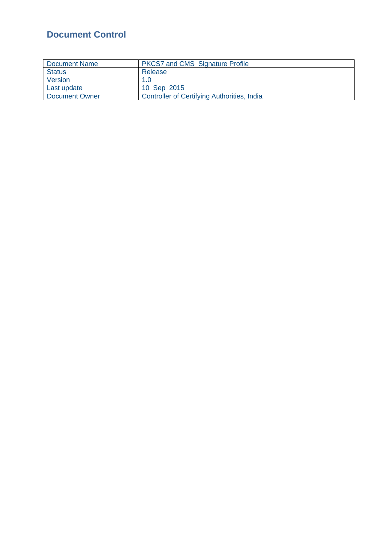# <span id="page-1-0"></span>**Document Control**

| Document Name  | <b>PKCS7 and CMS Signature Profile</b>      |
|----------------|---------------------------------------------|
| <b>Status</b>  | Release                                     |
| Version        | 1.0                                         |
| Last update    | 10 Sep 2015                                 |
| Document Owner | Controller of Certifying Authorities, India |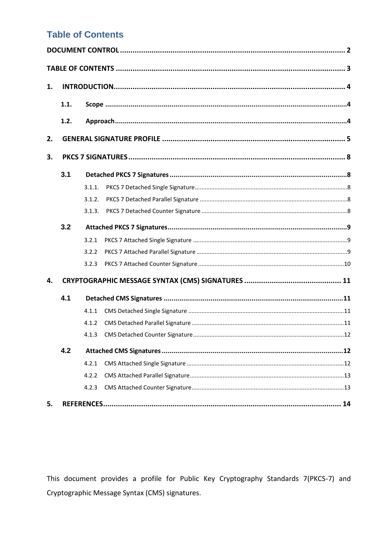## <span id="page-2-0"></span>**Table of Contents**

| 1. |      |        |  |  |  |
|----|------|--------|--|--|--|
|    | 1.1. |        |  |  |  |
|    | 1.2. |        |  |  |  |
| 2. |      |        |  |  |  |
| 3. |      |        |  |  |  |
|    | 3.1  |        |  |  |  |
|    |      | 3.1.1. |  |  |  |
|    |      | 3.1.2. |  |  |  |
|    |      | 3.1.3. |  |  |  |
|    | 3.2  |        |  |  |  |
|    |      | 3.2.1  |  |  |  |
|    |      | 3.2.2  |  |  |  |
|    |      | 3.2.3  |  |  |  |
| 4. |      |        |  |  |  |
|    | 4.1  |        |  |  |  |
|    |      | 4.1.1  |  |  |  |
|    |      | 4.1.2  |  |  |  |
|    |      |        |  |  |  |
|    | 4.2  |        |  |  |  |
|    |      | 4.2.1  |  |  |  |
|    |      | 4.2.2  |  |  |  |
|    |      | 4.2.3  |  |  |  |
| 5. |      |        |  |  |  |

This document provides a profile for Public Key Cryptography Standards 7(PKCS-7) and Cryptographic Message Syntax (CMS) signatures.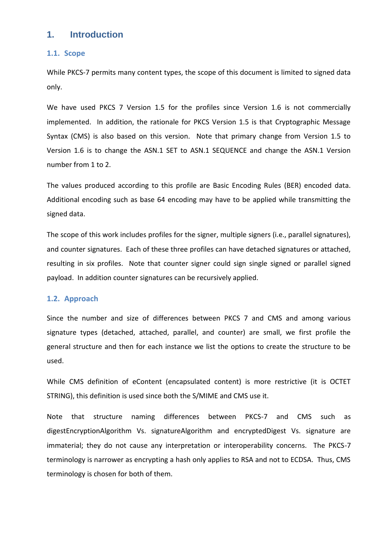## <span id="page-3-0"></span>**1. Introduction**

#### <span id="page-3-1"></span>**1.1. Scope**

While PKCS-7 permits many content types, the scope of this document is limited to signed data only.

We have used PKCS 7 Version 1.5 for the profiles since Version 1.6 is not commercially implemented. In addition, the rationale for PKCS Version 1.5 is that Cryptographic Message Syntax (CMS) is also based on this version. Note that primary change from Version 1.5 to Version 1.6 is to change the ASN.1 SET to ASN.1 SEQUENCE and change the ASN.1 Version number from 1 to 2.

The values produced according to this profile are Basic Encoding Rules (BER) encoded data. Additional encoding such as base 64 encoding may have to be applied while transmitting the signed data.

The scope of this work includes profiles for the signer, multiple signers (i.e., parallel signatures), and counter signatures. Each of these three profiles can have detached signatures or attached, resulting in six profiles. Note that counter signer could sign single signed or parallel signed payload. In addition counter signatures can be recursively applied.

#### <span id="page-3-2"></span>**1.2. Approach**

Since the number and size of differences between PKCS 7 and CMS and among various signature types (detached, attached, parallel, and counter) are small, we first profile the general structure and then for each instance we list the options to create the structure to be used.

While CMS definition of eContent (encapsulated content) is more restrictive (it is OCTET STRING), this definition is used since both the S/MIME and CMS use it.

Note that structure naming differences between PKCS-7 and CMS such as digestEncryptionAlgorithm Vs. signatureAlgorithm and encryptedDigest Vs. signature are immaterial; they do not cause any interpretation or interoperability concerns. The PKCS-7 terminology is narrower as encrypting a hash only applies to RSA and not to ECDSA. Thus, CMS terminology is chosen for both of them.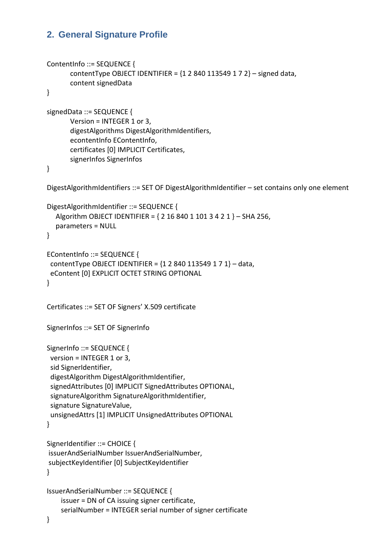## <span id="page-4-0"></span>**2. General Signature Profile**

```
ContentInfo ::= SEQUENCE {
       contentType OBJECT IDENTIFIER = {12840113549172} - signed data,
       content signedData
}
signedData ::= SEQUENCE {
       Version = INTEGER 1 or 3,
       digestAlgorithms DigestAlgorithmIdentifiers,
       econtentInfo EContentInfo,
       certificates [0] IMPLICIT Certificates,
       signerInfos SignerInfos
}
DigestAlgorithmIdentifiers ::= SET OF DigestAlgorithmIdentifier – set contains only one element
DigestAlgorithmIdentifier ::= SEQUENCE {
   Algorithm OBJECT IDENTIFIER = { 2 16 840 1 101 3 4 2 1 } – SHA 256,
   parameters = NULL 
}
EContentInfo ::= SEQUENCE {
 contentType OBJECT IDENTIFIER = {12840113549171} - data,
  eContent [0] EXPLICIT OCTET STRING OPTIONAL
}
Certificates ::= SET OF Signers' X.509 certificate
SignerInfos ::= SET OF SignerInfo 
SignerInfo ::= SEQUENCE {
  version = INTEGER 1 or 3,
  sid SignerIdentifier,
  digestAlgorithm DigestAlgorithmIdentifier,
  signedAttributes [0] IMPLICIT SignedAttributes OPTIONAL,
  signatureAlgorithm SignatureAlgorithmIdentifier,
  signature SignatureValue,
  unsignedAttrs [1] IMPLICIT UnsignedAttributes OPTIONAL 
}
SignerIdentifier ::= CHOICE {
issuerAndSerialNumber IssuerAndSerialNumber,
subjectKeyIdentifier [0] SubjectKeyIdentifier
}
IssuerAndSerialNumber ::= SEQUENCE {
     issuer = DN of CA issuing signer certificate,
     serialNumber = INTEGER serial number of signer certificate
```

```
}
```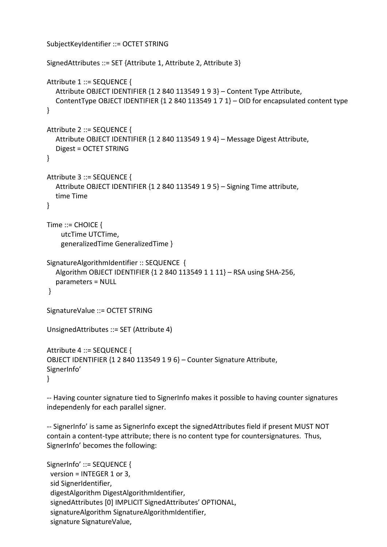```
SubjectKeyIdentifier ::= OCTET STRING
SignedAttributes ::= SET {Attribute 1, Attribute 2, Attribute 3}
Attribute 1 ::= SEQUENCE {
    Attribute OBJECT IDENTIFIER {1 2 840 113549 1 9 3} – Content Type Attribute,
   ContentType OBJECT IDENTIFIER {1 2 840 113549 1 7 1} – OID for encapsulated content type
}
Attribute 2 ::= SEQUENCE {
    Attribute OBJECT IDENTIFIER {1 2 840 113549 1 9 4} – Message Digest Attribute,
   Digest = OCTET STRING
}
Attribute 3 ::= SEQUENCE {
   Attribute OBJECT IDENTIFIER {1 2 840 113549 1 9 5} – Signing Time attribute,
   time Time
}
Time ::= CHOICE \{ utcTime UTCTime,
     generalizedTime GeneralizedTime }
SignatureAlgorithmIdentifier :: SEQUENCE {
    Algorithm OBJECT IDENTIFIER {1 2 840 113549 1 1 11} – RSA using SHA-256,
   parameters = NULL 
}
SignatureValue ::= OCTET STRING
UnsignedAttributes ::= SET (Attribute 4)
Attribute 4 ::= SEQUENCE {
OBJECT IDENTIFIER {1 2 840 113549 1 9 6} – Counter Signature Attribute,
SignerInfo'
}
```
-- Having counter signature tied to SignerInfo makes it possible to having counter signatures independenly for each parallel signer.

-- SignerInfo' is same as SignerInfo except the signedAttributes field if present MUST NOT contain a content-type attribute; there is no content type for countersignatures. Thus, SignerInfo' becomes the following:

```
SignerInfo' ::= SEQUENCE {
  version = INTEGER 1 or 3,
  sid SignerIdentifier,
  digestAlgorithm DigestAlgorithmIdentifier,
  signedAttributes [0] IMPLICIT SignedAttributes' OPTIONAL,
  signatureAlgorithm SignatureAlgorithmIdentifier,
  signature SignatureValue,
```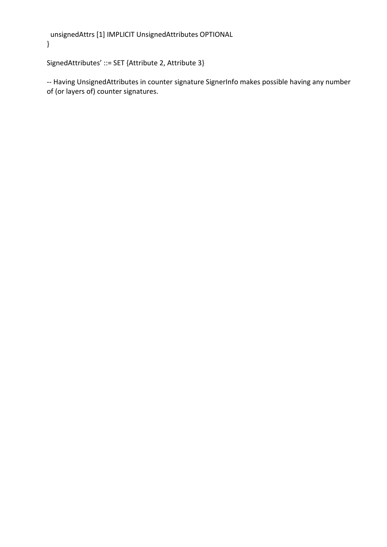```
 unsignedAttrs [1] IMPLICIT UnsignedAttributes OPTIONAL 
}
```

```
SignedAttributes' ::= SET {Attribute 2, Attribute 3}
```
-- Having UnsignedAttributes in counter signature SignerInfo makes possible having any number of (or layers of) counter signatures.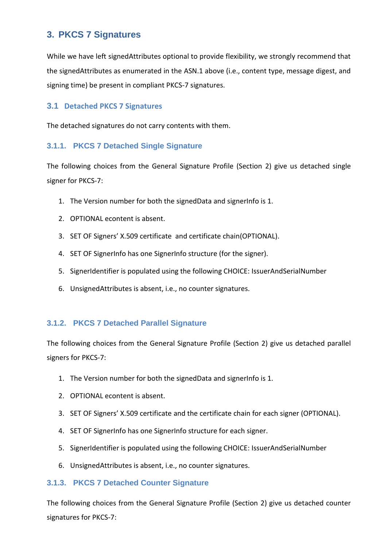## <span id="page-7-0"></span>**3. PKCS 7 Signatures**

While we have left signedAttributes optional to provide flexibility, we strongly recommend that the signedAttributes as enumerated in the ASN.1 above (i.e., content type, message digest, and signing time) be present in compliant PKCS-7 signatures.

#### <span id="page-7-1"></span>**3.1 Detached PKCS 7 Signatures**

The detached signatures do not carry contents with them.

#### <span id="page-7-2"></span>**3.1.1. PKCS 7 Detached Single Signature**

The following choices from the General Signature Profile (Section 2) give us detached single signer for PKCS-7:

- 1. The Version number for both the signedData and signerInfo is 1.
- 2. OPTIONAL econtent is absent.
- 3. SET OF Signers' X.509 certificate and certificate chain(OPTIONAL).
- 4. SET OF SignerInfo has one SignerInfo structure (for the signer).
- 5. SignerIdentifier is populated using the following CHOICE: IssuerAndSerialNumber
- 6. UnsignedAttributes is absent, i.e., no counter signatures.

#### <span id="page-7-3"></span>**3.1.2. PKCS 7 Detached Parallel Signature**

The following choices from the General Signature Profile (Section 2) give us detached parallel signers for PKCS-7:

- 1. The Version number for both the signedData and signerInfo is 1.
- 2. OPTIONAL econtent is absent.
- 3. SET OF Signers' X.509 certificate and the certificate chain for each signer (OPTIONAL).
- 4. SET OF SignerInfo has one SignerInfo structure for each signer.
- 5. SignerIdentifier is populated using the following CHOICE: IssuerAndSerialNumber
- 6. UnsignedAttributes is absent, i.e., no counter signatures.

#### <span id="page-7-4"></span>**3.1.3. PKCS 7 Detached Counter Signature**

The following choices from the General Signature Profile (Section 2) give us detached counter signatures for PKCS-7: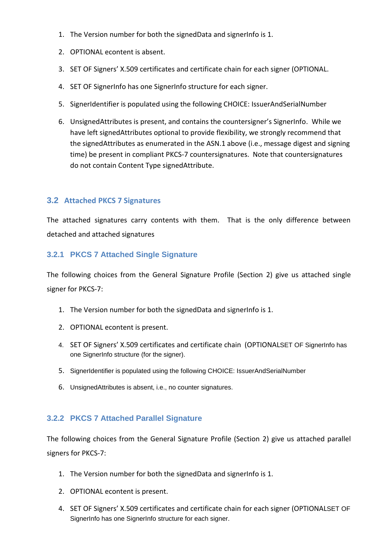- 1. The Version number for both the signedData and signerInfo is 1.
- 2. OPTIONAL econtent is absent.
- 3. SET OF Signers' X.509 certificates and certificate chain for each signer (OPTIONAL.
- 4. SET OF SignerInfo has one SignerInfo structure for each signer.
- 5. SignerIdentifier is populated using the following CHOICE: IssuerAndSerialNumber
- 6. UnsignedAttributes is present, and contains the countersigner's SignerInfo. While we have left signedAttributes optional to provide flexibility, we strongly recommend that the signedAttributes as enumerated in the ASN.1 above (i.e., message digest and signing time) be present in compliant PKCS-7 countersignatures. Note that countersignatures do not contain Content Type signedAttribute.

## <span id="page-8-0"></span>**3.2 Attached PKCS 7 Signatures**

The attached signatures carry contents with them. That is the only difference between detached and attached signatures

#### <span id="page-8-1"></span>**3.2.1 PKCS 7 Attached Single Signature**

The following choices from the General Signature Profile (Section 2) give us attached single signer for PKCS-7:

- 1. The Version number for both the signedData and signerInfo is 1.
- 2. OPTIONAL econtent is present.
- 4. SET OF Signers' X.509 certificates and certificate chain (OPTIONALSET OF SignerInfo has one SignerInfo structure (for the signer).
- 5. SignerIdentifier is populated using the following CHOICE: IssuerAndSerialNumber
- 6. UnsignedAttributes is absent, i.e., no counter signatures.

## <span id="page-8-2"></span>**3.2.2 PKCS 7 Attached Parallel Signature**

The following choices from the General Signature Profile (Section 2) give us attached parallel signers for PKCS-7:

- 1. The Version number for both the signedData and signerInfo is 1.
- 2. OPTIONAL econtent is present.
- 4. SET OF Signers' X.509 certificates and certificate chain for each signer (OPTIONALSET OF SignerInfo has one SignerInfo structure for each signer.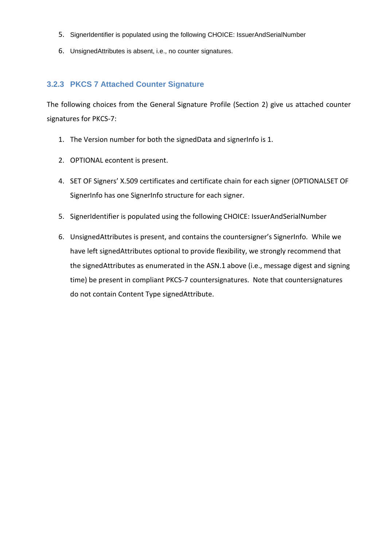- 5. SignerIdentifier is populated using the following CHOICE: IssuerAndSerialNumber
- 6. UnsignedAttributes is absent, i.e., no counter signatures.

#### <span id="page-9-0"></span>**3.2.3 PKCS 7 Attached Counter Signature**

The following choices from the General Signature Profile (Section 2) give us attached counter signatures for PKCS-7:

- 1. The Version number for both the signedData and signerInfo is 1.
- 2. OPTIONAL econtent is present.
- 4. SET OF Signers' X.509 certificates and certificate chain for each signer (OPTIONALSET OF SignerInfo has one SignerInfo structure for each signer.
- 5. SignerIdentifier is populated using the following CHOICE: IssuerAndSerialNumber
- 6. UnsignedAttributes is present, and contains the countersigner's SignerInfo. While we have left signedAttributes optional to provide flexibility, we strongly recommend that the signedAttributes as enumerated in the ASN.1 above (i.e., message digest and signing time) be present in compliant PKCS-7 countersignatures. Note that countersignatures do not contain Content Type signedAttribute.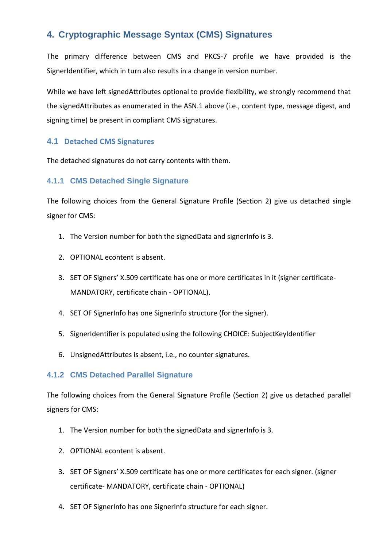## <span id="page-10-0"></span>**4. Cryptographic Message Syntax (CMS) Signatures**

The primary difference between CMS and PKCS-7 profile we have provided is the SignerIdentifier, which in turn also results in a change in version number.

While we have left signedAttributes optional to provide flexibility, we strongly recommend that the signedAttributes as enumerated in the ASN.1 above (i.e., content type, message digest, and signing time) be present in compliant CMS signatures.

#### <span id="page-10-1"></span>**4.1 Detached CMS Signatures**

The detached signatures do not carry contents with them.

#### <span id="page-10-2"></span>**4.1.1 CMS Detached Single Signature**

The following choices from the General Signature Profile (Section 2) give us detached single signer for CMS:

- 1. The Version number for both the signedData and signerInfo is 3.
- 2. OPTIONAL econtent is absent.
- 3. SET OF Signers' X.509 certificate has one or more certificates in it (signer certificate-MANDATORY, certificate chain - OPTIONAL).
- 4. SET OF SignerInfo has one SignerInfo structure (for the signer).
- 5. SignerIdentifier is populated using the following CHOICE: SubjectKeyIdentifier
- 6. UnsignedAttributes is absent, i.e., no counter signatures.

#### <span id="page-10-3"></span>**4.1.2 CMS Detached Parallel Signature**

The following choices from the General Signature Profile (Section 2) give us detached parallel signers for CMS:

- 1. The Version number for both the signedData and signerInfo is 3.
- 2. OPTIONAL econtent is absent.
- 3. SET OF Signers' X.509 certificate has one or more certificates for each signer. (signer certificate- MANDATORY, certificate chain - OPTIONAL)
- 4. SET OF SignerInfo has one SignerInfo structure for each signer.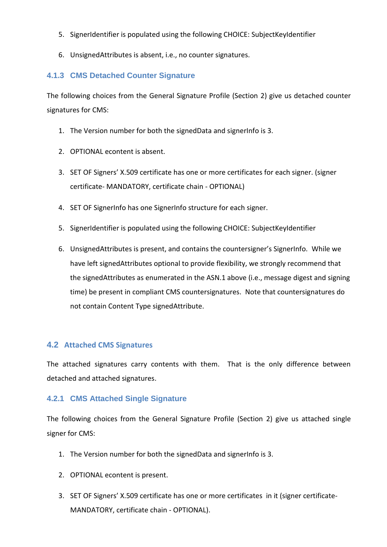- 5. SignerIdentifier is populated using the following CHOICE: SubjectKeyIdentifier
- 6. UnsignedAttributes is absent, i.e., no counter signatures.

#### <span id="page-11-0"></span>**4.1.3 CMS Detached Counter Signature**

The following choices from the General Signature Profile (Section 2) give us detached counter signatures for CMS:

- 1. The Version number for both the signedData and signerInfo is 3.
- 2. OPTIONAL econtent is absent.
- 3. SET OF Signers' X.509 certificate has one or more certificates for each signer. (signer certificate- MANDATORY, certificate chain - OPTIONAL)
- 4. SET OF SignerInfo has one SignerInfo structure for each signer.
- 5. SignerIdentifier is populated using the following CHOICE: SubjectKeyIdentifier
- 6. UnsignedAttributes is present, and contains the countersigner's SignerInfo. While we have left signedAttributes optional to provide flexibility, we strongly recommend that the signedAttributes as enumerated in the ASN.1 above (i.e., message digest and signing time) be present in compliant CMS countersignatures. Note that countersignatures do not contain Content Type signedAttribute.

#### <span id="page-11-1"></span>**4.2 Attached CMS Signatures**

The attached signatures carry contents with them. That is the only difference between detached and attached signatures.

#### <span id="page-11-2"></span>**4.2.1 CMS Attached Single Signature**

The following choices from the General Signature Profile (Section 2) give us attached single signer for CMS:

- 1. The Version number for both the signedData and signerInfo is 3.
- 2. OPTIONAL econtent is present.
- 3. SET OF Signers' X.509 certificate has one or more certificates in it (signer certificate-MANDATORY, certificate chain - OPTIONAL).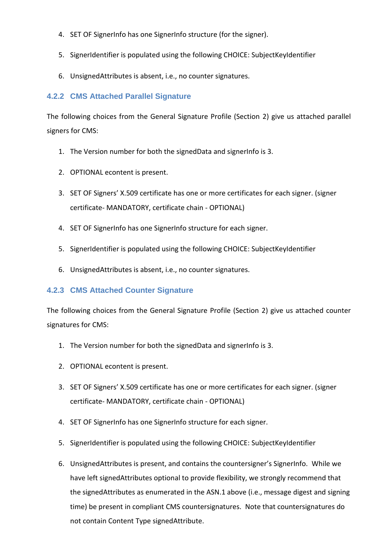- 4. SET OF SignerInfo has one SignerInfo structure (for the signer).
- 5. SignerIdentifier is populated using the following CHOICE: SubjectKeyIdentifier
- 6. UnsignedAttributes is absent, i.e., no counter signatures.

## <span id="page-12-0"></span>**4.2.2 CMS Attached Parallel Signature**

The following choices from the General Signature Profile (Section 2) give us attached parallel signers for CMS:

- 1. The Version number for both the signedData and signerInfo is 3.
- 2. OPTIONAL econtent is present.
- 3. SET OF Signers' X.509 certificate has one or more certificates for each signer. (signer certificate- MANDATORY, certificate chain - OPTIONAL)
- 4. SET OF SignerInfo has one SignerInfo structure for each signer.
- 5. SignerIdentifier is populated using the following CHOICE: SubjectKeyIdentifier
- 6. UnsignedAttributes is absent, i.e., no counter signatures.

## <span id="page-12-1"></span>**4.2.3 CMS Attached Counter Signature**

The following choices from the General Signature Profile (Section 2) give us attached counter signatures for CMS:

- 1. The Version number for both the signedData and signerInfo is 3.
- 2. OPTIONAL econtent is present.
- 3. SET OF Signers' X.509 certificate has one or more certificates for each signer. (signer certificate- MANDATORY, certificate chain - OPTIONAL)
- 4. SET OF SignerInfo has one SignerInfo structure for each signer.
- 5. SignerIdentifier is populated using the following CHOICE: SubjectKeyIdentifier
- 6. UnsignedAttributes is present, and contains the countersigner's SignerInfo. While we have left signedAttributes optional to provide flexibility, we strongly recommend that the signedAttributes as enumerated in the ASN.1 above (i.e., message digest and signing time) be present in compliant CMS countersignatures. Note that countersignatures do not contain Content Type signedAttribute.